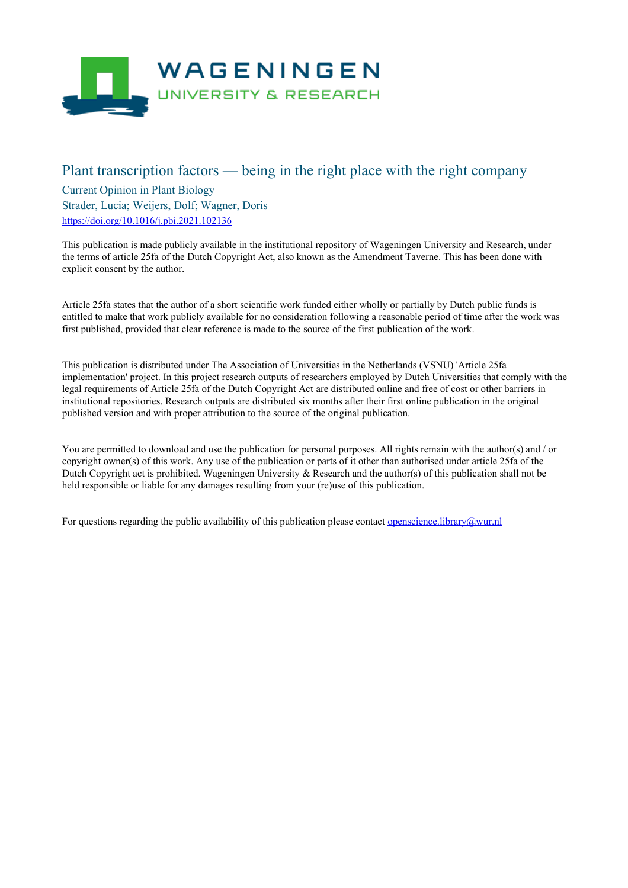

# Plant transcription factors — being in the right place with the right company

Current Opinion in Plant Biology Strader, Lucia; Weijers, Dolf; Wagner, Doris <https://doi.org/10.1016/j.pbi.2021.102136>

This publication is made publicly available in the institutional repository of Wageningen University and Research, under the terms of article 25fa of the Dutch Copyright Act, also known as the Amendment Taverne. This has been done with explicit consent by the author.

Article 25fa states that the author of a short scientific work funded either wholly or partially by Dutch public funds is entitled to make that work publicly available for no consideration following a reasonable period of time after the work was first published, provided that clear reference is made to the source of the first publication of the work.

This publication is distributed under The Association of Universities in the Netherlands (VSNU) 'Article 25fa implementation' project. In this project research outputs of researchers employed by Dutch Universities that comply with the legal requirements of Article 25fa of the Dutch Copyright Act are distributed online and free of cost or other barriers in institutional repositories. Research outputs are distributed six months after their first online publication in the original published version and with proper attribution to the source of the original publication.

You are permitted to download and use the publication for personal purposes. All rights remain with the author(s) and / or copyright owner(s) of this work. Any use of the publication or parts of it other than authorised under article 25fa of the Dutch Copyright act is prohibited. Wageningen University & Research and the author(s) of this publication shall not be held responsible or liable for any damages resulting from your (re)use of this publication.

For questions regarding the public availability of this publication please contact <u>[openscience.library@wur.nl](mailto:openscience.library@wur.nl)</u>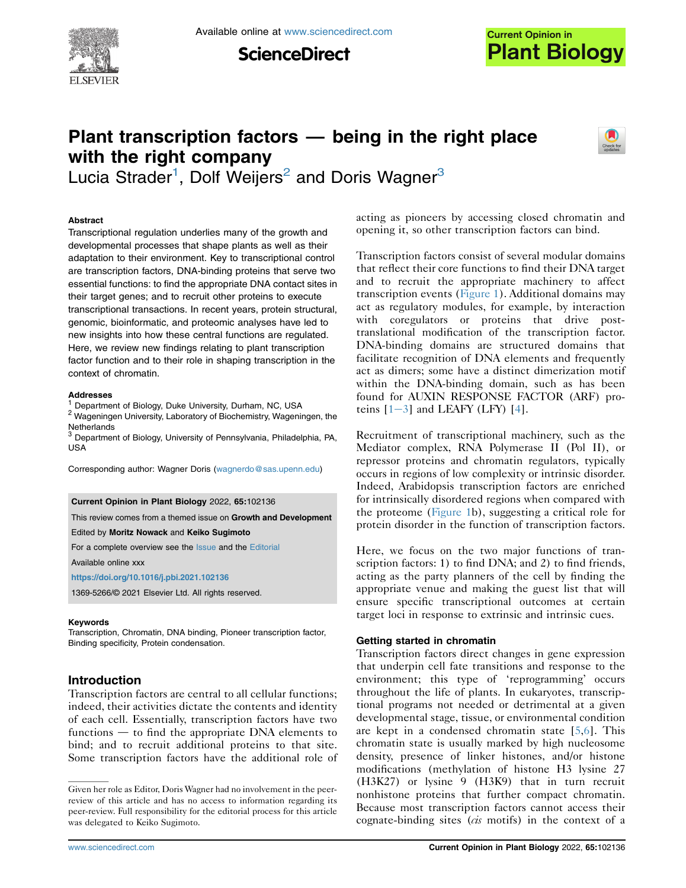

**ScienceDirect** 



# Plant transcription factors — being in the right place with the right company



Lucia Strader<sup>[1](#page-1-0)</sup>, Dolf Weijers<sup>[2](#page-1-1)</sup> and Doris Wagner<sup>3</sup>

## Abstract

Transcriptional regulation underlies many of the growth and developmental processes that shape plants as well as their adaptation to their environment. Key to transcriptional control are transcription factors, DNA-binding proteins that serve two essential functions: to find the appropriate DNA contact sites in their target genes; and to recruit other proteins to execute transcriptional transactions. In recent years, protein structural, genomic, bioinformatic, and proteomic analyses have led to new insights into how these central functions are regulated. Here, we review new findings relating to plant transcription factor function and to their role in shaping transcription in the context of chromatin.

#### Addresses

<span id="page-1-0"></span><sup>1</sup> Department of Biology, Duke University, Durham, NC, USA

<span id="page-1-1"></span><sup>2</sup> Wageningen University, Laboratory of Biochemistry, Wageningen, the **Netherlands** 

<span id="page-1-2"></span><sup>3</sup> Department of Biology, University of Pennsylvania, Philadelphia, PA, USA

Corresponding author: Wagner Doris [\(wagnerdo@sas.upenn.edu\)](mailto:wagnerdo@sas.upenn.edu)

#### Current Opinion in Plant Biology 2022, 65:102136

This review comes from a themed issue on Growth and Development

Edited by Moritz Nowack and Keiko Sugimoto

For a complete overview see the [Issue](http://www.sciencedirect.com/science/journal/18796257/vol/issue) and the [Editorial](https://doi.org/10.1016/j.pbi.2021.102136)

Available online xxx

<https://doi.org/10.1016/j.pbi.2021.102136>

1369-5266/© 2021 Elsevier Ltd. All rights reserved.

#### Keywords

Transcription, Chromatin, DNA binding, Pioneer transcription factor, Binding specificity, Protein condensation.

## Introduction

Transcription factors are central to all cellular functions; indeed, their activities dictate the contents and identity of each cell. Essentially, transcription factors have two functions  $-$  to find the appropriate DNA elements to bind; and to recruit additional proteins to that site. Some transcription factors have the additional role of

acting as pioneers by accessing closed chromatin and opening it, so other transcription factors can bind.

Transcription factors consist of several modular domains that reflect their core functions to find their DNA target and to recruit the appropriate machinery to affect transcription events ([Figure 1\)](#page-2-0). Additional domains may act as regulatory modules, for example, by interaction with coregulators or proteins that drive posttranslational modification of the transcription factor. DNA-binding domains are structured domains that facilitate recognition of DNA elements and frequently act as dimers; some have a distinct dimerization motif within the DNA-binding domain, such as has been found for AUXIN RESPONSE FACTOR (ARF) proteins  $[1-3]$  $[1-3]$  $[1-3]$  $[1-3]$  and LEAFY (LFY)  $[4]$  $[4]$  $[4]$ .

Recruitment of transcriptional machinery, such as the Mediator complex, RNA Polymerase II (Pol II), or repressor proteins and chromatin regulators, typically occurs in regions of low complexity or intrinsic disorder. Indeed, Arabidopsis transcription factors are enriched for intrinsically disordered regions when compared with the proteome [\(Figure 1](#page-2-0)b), suggesting a critical role for protein disorder in the function of transcription factors.

Here, we focus on the two major functions of transcription factors: 1) to find DNA; and 2) to find friends, acting as the party planners of the cell by finding the appropriate venue and making the guest list that will ensure specific transcriptional outcomes at certain target loci in response to extrinsic and intrinsic cues.

#### Getting started in chromatin

Transcription factors direct changes in gene expression that underpin cell fate transitions and response to the environment; this type of 'reprogramming' occurs throughout the life of plants. In eukaryotes, transcriptional programs not needed or detrimental at a given developmental stage, tissue, or environmental condition are kept in a condensed chromatin state  $[5,6]$  $[5,6]$  $[5,6]$ . This chromatin state is usually marked by high nucleosome density, presence of linker histones, and/or histone modifications (methylation of histone H3 lysine 27 (H3K27) or lysine 9 (H3K9) that in turn recruit nonhistone proteins that further compact chromatin. Because most transcription factors cannot access their cognate-binding sites  $(cis$  motifs) in the context of a

Given her role as Editor, Doris Wagner had no involvement in the peerreview of this article and has no access to information regarding its peer-review. Full responsibility for the editorial process for this article was delegated to Keiko Sugimoto.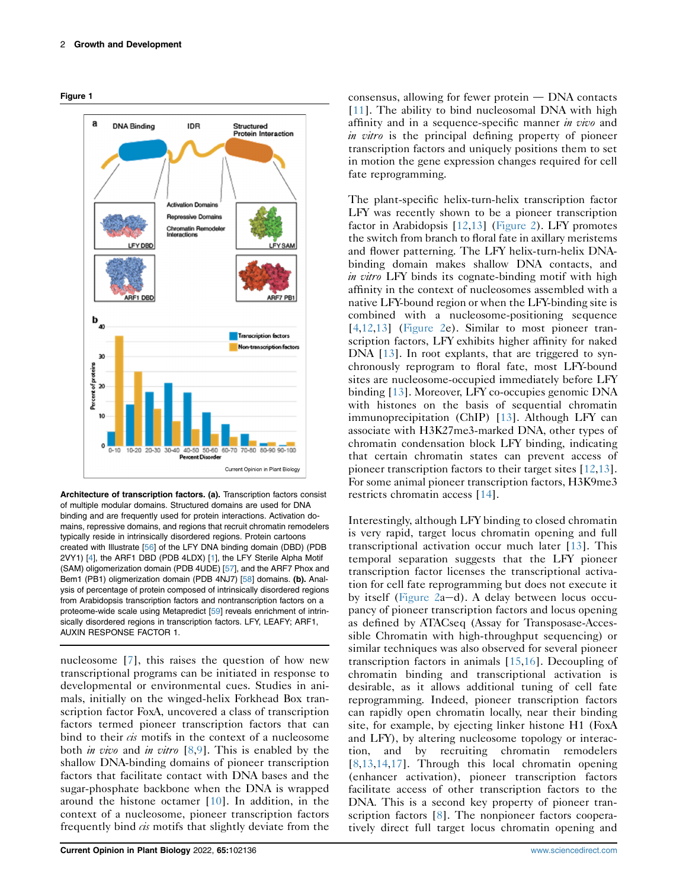<span id="page-2-0"></span>



Architecture of transcription factors. (a). Transcription factors consist of multiple modular domains. Structured domains are used for DNA binding and are frequently used for protein interactions. Activation domains, repressive domains, and regions that recruit chromatin remodelers typically reside in intrinsically disordered regions. Protein cartoons created with Illustrate [\[56](#page-8-0)] of the LFY DNA binding domain (DBD) (PDB 2VY1) [\[4](#page-7-1)], the ARF1 DBD (PDB 4LDX) [[1](#page-7-0)], the LFY Sterile Alpha Motif (SAM) oligomerization domain (PDB 4UDE) [[57](#page-8-1)], and the ARF7 Phox and Bem1 (PB1) oligmerization domain (PDB 4NJ7) [[58](#page-8-2)] domains. (b). Analysis of percentage of protein composed of intrinsically disordered regions from Arabidopsis transcription factors and nontranscription factors on a proteome-wide scale using Metapredict [[59\]](#page-8-3) reveals enrichment of intrinsically disordered regions in transcription factors. LFY, LEAFY; ARF1, AUXIN RESPONSE FACTOR 1.

nucleosome [[7](#page-7-4)], this raises the question of how new transcriptional programs can be initiated in response to developmental or environmental cues. Studies in animals, initially on the winged-helix Forkhead Box transcription factor FoxA, uncovered a class of transcription factors termed pioneer transcription factors that can bind to their  $\dot{c}$  motifs in the context of a nucleosome both *in vivo* and *in vitro*  $[8,9]$  $[8,9]$  $[8,9]$  $[8,9]$ . This is enabled by the shallow DNA-binding domains of pioneer transcription factors that facilitate contact with DNA bases and the sugar-phosphate backbone when the DNA is wrapped around the histone octamer [[10\]](#page-7-7). In addition, in the context of a nucleosome, pioneer transcription factors frequently bind *cis* motifs that slightly deviate from the consensus, allowing for fewer protein  $-$  DNA contacts [\[11\]](#page-7-8). The ability to bind nucleosomal DNA with high affinity and in a sequence-specific manner *in vivo* and in vitro is the principal defining property of pioneer transcription factors and uniquely positions them to set in motion the gene expression changes required for cell fate reprogramming.

The plant-specific helix-turn-helix transcription factor LFY was recently shown to be a pioneer transcription factor in Arabidopsis [[12](#page-7-9),[13\]](#page-7-10) [\(Figure 2\)](#page-3-0). LFY promotes the switch from branch to floral fate in axillary meristems and flower patterning. The LFY helix-turn-helix DNAbinding domain makes shallow DNA contacts, and in vitro LFY binds its cognate-binding motif with high affinity in the context of nucleosomes assembled with a native LFY-bound region or when the LFY-binding site is combined with a nucleosome-positioning sequence [\[4](#page-7-1),[12](#page-7-9),[13\]](#page-7-10) [\(Figure 2](#page-3-0)e). Similar to most pioneer transcription factors, LFY exhibits higher affinity for naked DNA [\[13](#page-7-10)]. In root explants, that are triggered to synchronously reprogram to floral fate, most LFY-bound sites are nucleosome-occupied immediately before LFY binding [[13\]](#page-7-10). Moreover, LFY co-occupies genomic DNA with histones on the basis of sequential chromatin immunoprecipitation (ChIP) [\[13](#page-7-10)]. Although LFY can associate with H3K27me3-marked DNA, other types of chromatin condensation block LFY binding, indicating that certain chromatin states can prevent access of pioneer transcription factors to their target sites [[12](#page-7-9)[,13\]](#page-7-10). For some animal pioneer transcription factors, H3K9me3 restricts chromatin access [[14](#page-7-11)].

Interestingly, although LFY binding to closed chromatin is very rapid, target locus chromatin opening and full transcriptional activation occur much later [\[13\]](#page-7-10). This temporal separation suggests that the LFY pioneer transcription factor licenses the transcriptional activation for cell fate reprogramming but does not execute it by itself [\(Figure 2](#page-3-0)a-d). A delay between locus occupancy of pioneer transcription factors and locus opening as defined by ATACseq (Assay for Transposase-Accessible Chromatin with high-throughput sequencing) or similar techniques was also observed for several pioneer transcription factors in animals [\[15](#page-7-12)[,16](#page-7-13)]. Decoupling of chromatin binding and transcriptional activation is desirable, as it allows additional tuning of cell fate reprogramming. Indeed, pioneer transcription factors can rapidly open chromatin locally, near their binding site, for example, by ejecting linker histone H1 (FoxA and LFY), by altering nucleosome topology or interaction, and by recruiting chromatin remodelers [\[8](#page-7-5)[,13](#page-7-10)[,14](#page-7-11),[17](#page-7-14)]. Through this local chromatin opening (enhancer activation), pioneer transcription factors facilitate access of other transcription factors to the DNA. This is a second key property of pioneer transcription factors [\[8](#page-7-5)]. The nonpioneer factors cooperatively direct full target locus chromatin opening and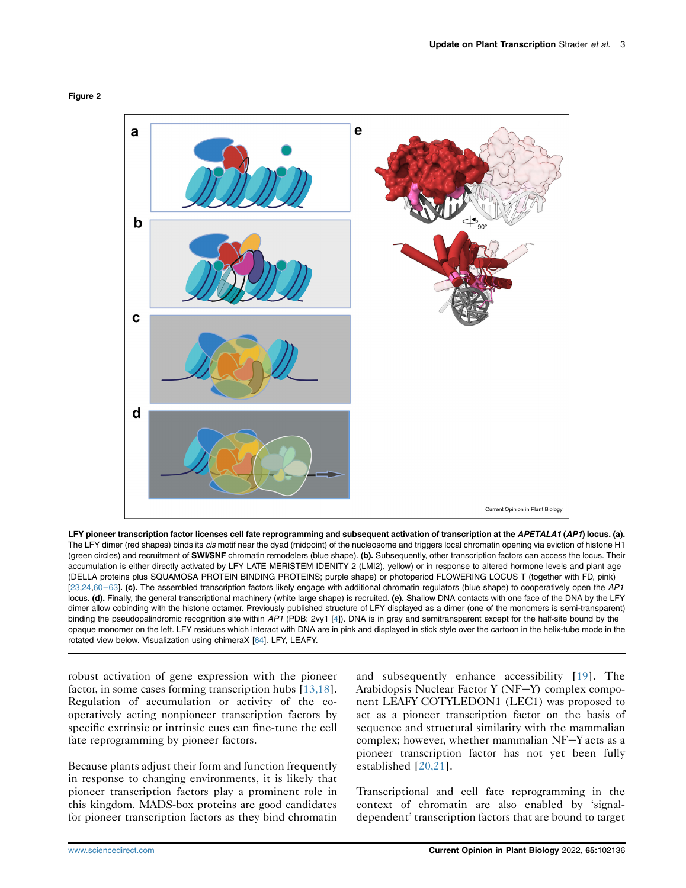<span id="page-3-0"></span>



LFY pioneer transcription factor licenses cell fate reprogramming and subsequent activation of transcription at the APETALA1 (AP1) locus. (a). The LFY dimer (red shapes) binds its *cis* motif near the dyad (midpoint) of the nucleosome and triggers local chromatin opening via eviction of histone H1 (green circles) and recruitment of SWI/SNF chromatin remodelers (blue shape). (b). Subsequently, other transcription factors can access the locus. Their accumulation is either directly activated by LFY LATE MERISTEM IDENITY 2 (LMI2), yellow) or in response to altered hormone levels and plant age (DELLA proteins plus SQUAMOSA PROTEIN BINDING PROTEINS; purple shape) or photoperiod FLOWERING LOCUS T (together with FD, pink) [[23](#page-7-17)[,24,](#page-7-18)60-[63](#page-8-4)]. (c). The assembled transcription factors likely engage with additional chromatin regulators (blue shape) to cooperatively open the AP1 locus. (d). Finally, the general transcriptional machinery (white large shape) is recruited. (e). Shallow DNA contacts with one face of the DNA by the LFY dimer allow cobinding with the histone octamer. Previously published structure of LFY displayed as a dimer (one of the monomers is semi-transparent) binding the pseudopalindromic recognition site within AP1 (PDB: 2vy1 [\[4](#page-7-1)]). DNA is in gray and semitransparent except for the half-site bound by the opaque monomer on the left. LFY residues which interact with DNA are in pink and displayed in stick style over the cartoon in the helix-tube mode in the rotated view below. Visualization using chimeraX [\[64\]](#page-8-5). LFY, LEAFY.

robust activation of gene expression with the pioneer factor, in some cases forming transcription hubs [\[13,18](#page-7-10)]. Regulation of accumulation or activity of the cooperatively acting nonpioneer transcription factors by specific extrinsic or intrinsic cues can fine-tune the cell fate reprogramming by pioneer factors.

Because plants adjust their form and function frequently in response to changing environments, it is likely that pioneer transcription factors play a prominent role in this kingdom. MADS-box proteins are good candidates for pioneer transcription factors as they bind chromatin

and subsequently enhance accessibility [\[19](#page-7-15)]. The Arabidopsis Nuclear Factor Y ( $N_{F}-Y$ ) complex component LEAFY COTYLEDON1 (LEC1) was proposed to act as a pioneer transcription factor on the basis of sequence and structural similarity with the mammalian complex; however, whether mammalian  $NF-Y$  acts as a pioneer transcription factor has not yet been fully established [\[20,21\]](#page-7-16).

Transcriptional and cell fate reprogramming in the context of chromatin are also enabled by 'signaldependent' transcription factors that are bound to target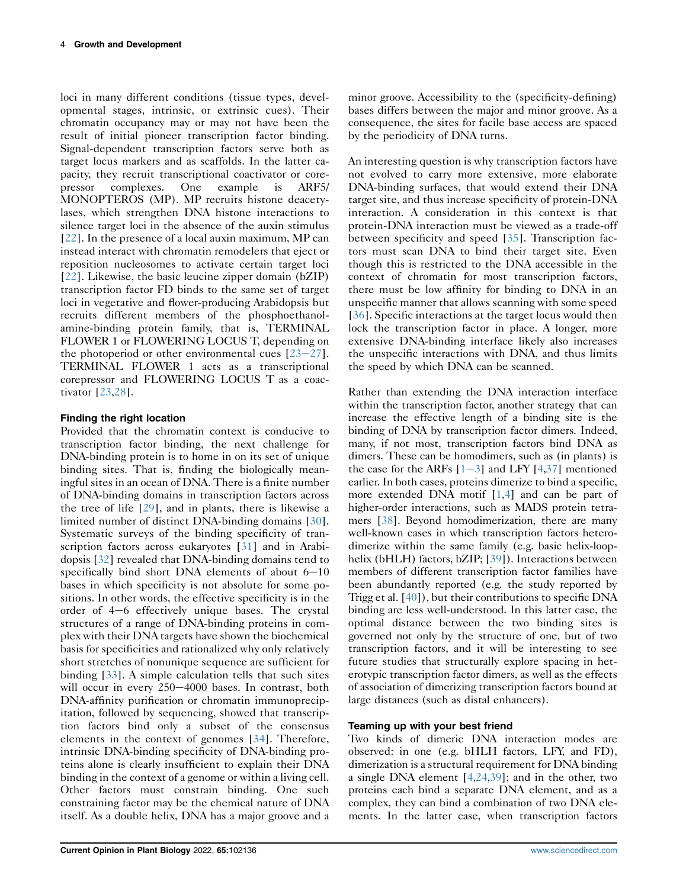loci in many different conditions (tissue types, developmental stages, intrinsic, or extrinsic cues). Their chromatin occupancy may or may not have been the result of initial pioneer transcription factor binding. Signal-dependent transcription factors serve both as target locus markers and as scaffolds. In the latter capacity, they recruit transcriptional coactivator or corepressor complexes. One example is ARF5/ MONOPTEROS (MP). MP recruits histone deacetylases, which strengthen DNA histone interactions to silence target loci in the absence of the auxin stimulus [\[22](#page-7-19)]. In the presence of a local auxin maximum, MP can instead interact with chromatin remodelers that eject or reposition nucleosomes to activate certain target loci [\[22](#page-7-19)]. Likewise, the basic leucine zipper domain (bZIP) transcription factor FD binds to the same set of target loci in vegetative and flower-producing Arabidopsis but recruits different members of the phosphoethanolamine-binding protein family, that is, TERMINAL FLOWER 1 or FLOWERING LOCUS T, depending on the photoperiod or other environmental cues  $[23-27]$  $[23-27]$  $[23-27]$  $[23-27]$  $[23-27]$ . TERMINAL FLOWER 1 acts as a transcriptional corepressor and FLOWERING LOCUS T as a coactivator [\[23](#page-7-17)[,28](#page-7-20)].

## Finding the right location

Provided that the chromatin context is conducive to transcription factor binding, the next challenge for DNA-binding protein is to home in on its set of unique binding sites. That is, finding the biologically meaningful sites in an ocean of DNA. There is a finite number of DNA-binding domains in transcription factors across the tree of life [[29](#page-8-6)], and in plants, there is likewise a limited number of distinct DNA-binding domains [[30](#page-8-7)]. Systematic surveys of the binding specificity of tran-scription factors across eukaryotes [\[31\]](#page-8-8) and in Arabidopsis [\[32\]](#page-8-9) revealed that DNA-binding domains tend to specifically bind short DNA elements of about  $6-10$ bases in which specificity is not absolute for some positions. In other words, the effective specificity is in the order of  $4-6$  effectively unique bases. The crystal structures of a range of DNA-binding proteins in complex with their DNA targets have shown the biochemical basis for specificities and rationalized why only relatively short stretches of nonunique sequence are sufficient for binding [[33\]](#page-8-10). A simple calculation tells that such sites will occur in every 250-4000 bases. In contrast, both DNA-affinity purification or chromatin immunoprecipitation, followed by sequencing, showed that transcription factors bind only a subset of the consensus elements in the context of genomes [\[34\]](#page-8-11). Therefore, intrinsic DNA-binding specificity of DNA-binding proteins alone is clearly insufficient to explain their DNA binding in the context of a genome or within a living cell. Other factors must constrain binding. One such constraining factor may be the chemical nature of DNA itself. As a double helix, DNA has a major groove and a

minor groove. Accessibility to the (specificity-defining) bases differs between the major and minor groove. As a consequence, the sites for facile base access are spaced by the periodicity of DNA turns.

An interesting question is why transcription factors have not evolved to carry more extensive, more elaborate DNA-binding surfaces, that would extend their DNA target site, and thus increase specificity of protein-DNA interaction. A consideration in this context is that protein-DNA interaction must be viewed as a trade-off between specificity and speed [\[35](#page-8-12)]. Transcription factors must scan DNA to bind their target site. Even though this is restricted to the DNA accessible in the context of chromatin for most transcription factors, there must be low affinity for binding to DNA in an unspecific manner that allows scanning with some speed [\[36\]](#page-8-13). Specific interactions at the target locus would then lock the transcription factor in place. A longer, more extensive DNA-binding interface likely also increases the unspecific interactions with DNA, and thus limits the speed by which DNA can be scanned.

Rather than extending the DNA interaction interface within the transcription factor, another strategy that can increase the effective length of a binding site is the binding of DNA by transcription factor dimers. Indeed, many, if not most, transcription factors bind DNA as dimers. These can be homodimers, such as (in plants) is the case for the ARFs  $[1-3]$  $[1-3]$  $[1-3]$  $[1-3]$  and LFY  $[4,37]$  $[4,37]$  $[4,37]$  mentioned earlier. In both cases, proteins dimerize to bind a specific, more extended DNA motif [\[1](#page-7-0),[4\]](#page-7-1) and can be part of higher-order interactions, such as MADS protein tetramers [[38\]](#page-8-15). Beyond homodimerization, there are many well-known cases in which transcription factors heterodimerize within the same family (e.g. basic helix-loophelix (bHLH) factors, bZIP; [[39\]](#page-8-16)). Interactions between members of different transcription factor families have been abundantly reported (e.g. the study reported by Trigg et al. [\[40](#page-8-17)]), but their contributions to specific DNA binding are less well-understood. In this latter case, the optimal distance between the two binding sites is governed not only by the structure of one, but of two transcription factors, and it will be interesting to see future studies that structurally explore spacing in heterotypic transcription factor dimers, as well as the effects of association of dimerizing transcription factors bound at large distances (such as distal enhancers).

## Teaming up with your best friend

Two kinds of dimeric DNA interaction modes are observed: in one (e.g. bHLH factors, LFY, and FD), dimerization is a structural requirement for DNA binding a single DNA element [\[4](#page-7-1)[,24](#page-7-18),[39\]](#page-8-16); and in the other, two proteins each bind a separate DNA element, and as a complex, they can bind a combination of two DNA elements. In the latter case, when transcription factors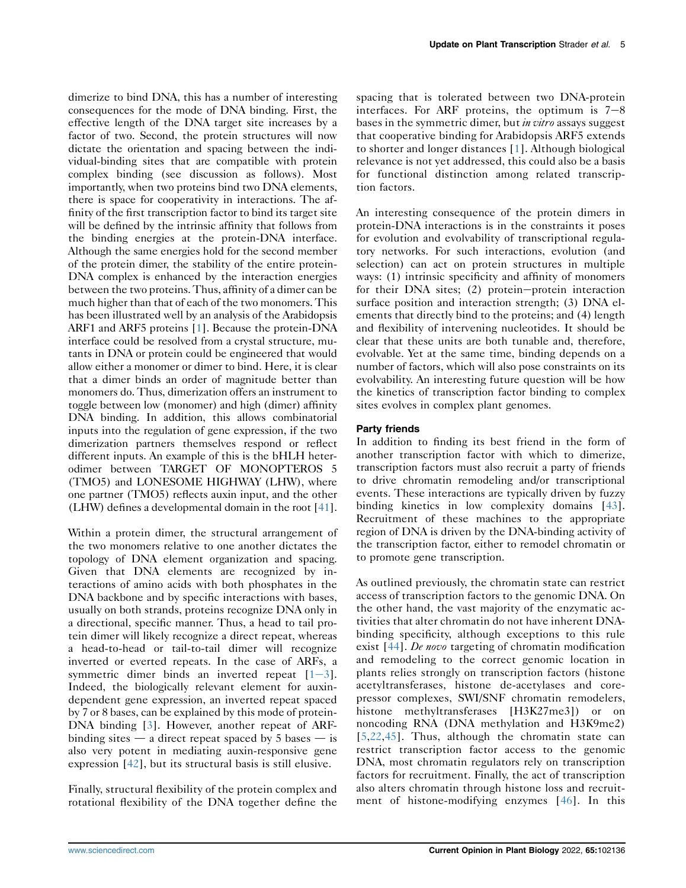dimerize to bind DNA, this has a number of interesting consequences for the mode of DNA binding. First, the effective length of the DNA target site increases by a factor of two. Second, the protein structures will now dictate the orientation and spacing between the individual-binding sites that are compatible with protein complex binding (see discussion as follows). Most importantly, when two proteins bind two DNA elements, there is space for cooperativity in interactions. The affinity of the first transcription factor to bind its target site will be defined by the intrinsic affinity that follows from the binding energies at the protein-DNA interface. Although the same energies hold for the second member of the protein dimer, the stability of the entire protein-DNA complex is enhanced by the interaction energies between the two proteins. Thus, affinity of a dimer can be much higher than that of each of the two monomers. This has been illustrated well by an analysis of the Arabidopsis ARF1 and ARF5 proteins [\[1](#page-7-0)]. Because the protein-DNA interface could be resolved from a crystal structure, mutants in DNA or protein could be engineered that would allow either a monomer or dimer to bind. Here, it is clear that a dimer binds an order of magnitude better than monomers do. Thus, dimerization offers an instrument to toggle between low (monomer) and high (dimer) affinity DNA binding. In addition, this allows combinatorial inputs into the regulation of gene expression, if the two dimerization partners themselves respond or reflect different inputs. An example of this is the bHLH heterodimer between TARGET OF MONOPTEROS 5 (TMO5) and LONESOME HIGHWAY (LHW), where one partner (TMO5) reflects auxin input, and the other (LHW) defines a developmental domain in the root [\[41](#page-8-18)].

Within a protein dimer, the structural arrangement of the two monomers relative to one another dictates the topology of DNA element organization and spacing. Given that DNA elements are recognized by interactions of amino acids with both phosphates in the DNA backbone and by specific interactions with bases, usually on both strands, proteins recognize DNA only in a directional, specific manner. Thus, a head to tail protein dimer will likely recognize a direct repeat, whereas a head-to-head or tail-to-tail dimer will recognize inverted or everted repeats. In the case of ARFs, a symmetric dimer binds an inverted repeat  $[1-3]$  $[1-3]$  $[1-3]$  $[1-3]$ . Indeed, the biologically relevant element for auxindependent gene expression, an inverted repeat spaced by 7 or 8 bases, can be explained by this mode of protein-DNA binding [\[3\]](#page-7-21). However, another repeat of ARFbinding sites  $\frac{d}{dx}$  a direct repeat spaced by 5 bases  $\frac{d}{dx}$  is also very potent in mediating auxin-responsive gene expression [[42\]](#page-8-19), but its structural basis is still elusive.

Finally, structural flexibility of the protein complex and rotational flexibility of the DNA together define the spacing that is tolerated between two DNA-protein interfaces. For ARF proteins, the optimum is  $7-8$ bases in the symmetric dimer, but *in vitro* assays suggest that cooperative binding for Arabidopsis ARF5 extends to shorter and longer distances [\[1\]](#page-7-0). Although biological relevance is not yet addressed, this could also be a basis for functional distinction among related transcription factors.

An interesting consequence of the protein dimers in protein-DNA interactions is in the constraints it poses for evolution and evolvability of transcriptional regulatory networks. For such interactions, evolution (and selection) can act on protein structures in multiple ways: (1) intrinsic specificity and affinity of monomers for their DNA sites;  $(2)$  protein-protein interaction surface position and interaction strength; (3) DNA elements that directly bind to the proteins; and (4) length and flexibility of intervening nucleotides. It should be clear that these units are both tunable and, therefore, evolvable. Yet at the same time, binding depends on a number of factors, which will also pose constraints on its evolvability. An interesting future question will be how the kinetics of transcription factor binding to complex sites evolves in complex plant genomes.

## Party friends

In addition to finding its best friend in the form of another transcription factor with which to dimerize, transcription factors must also recruit a party of friends to drive chromatin remodeling and/or transcriptional events. These interactions are typically driven by fuzzy binding kinetics in low complexity domains [\[43\]](#page-8-20). Recruitment of these machines to the appropriate region of DNA is driven by the DNA-binding activity of the transcription factor, either to remodel chromatin or to promote gene transcription.

As outlined previously, the chromatin state can restrict access of transcription factors to the genomic DNA. On the other hand, the vast majority of the enzymatic activities that alter chromatin do not have inherent DNAbinding specificity, although exceptions to this rule exist [\[44\]](#page-8-21). De novo targeting of chromatin modification and remodeling to the correct genomic location in plants relies strongly on transcription factors (histone acetyltransferases, histone de-acetylases and corepressor complexes, SWI/SNF chromatin remodelers, histone methyltransferases [H3K27me3]) or on noncoding RNA (DNA methylation and H3K9me2) [\[5](#page-7-2)[,22](#page-7-19),[45](#page-8-22)]. Thus, although the chromatin state can restrict transcription factor access to the genomic DNA, most chromatin regulators rely on transcription factors for recruitment. Finally, the act of transcription also alters chromatin through histone loss and recruitment of histone-modifying enzymes [[46](#page-8-23)]. In this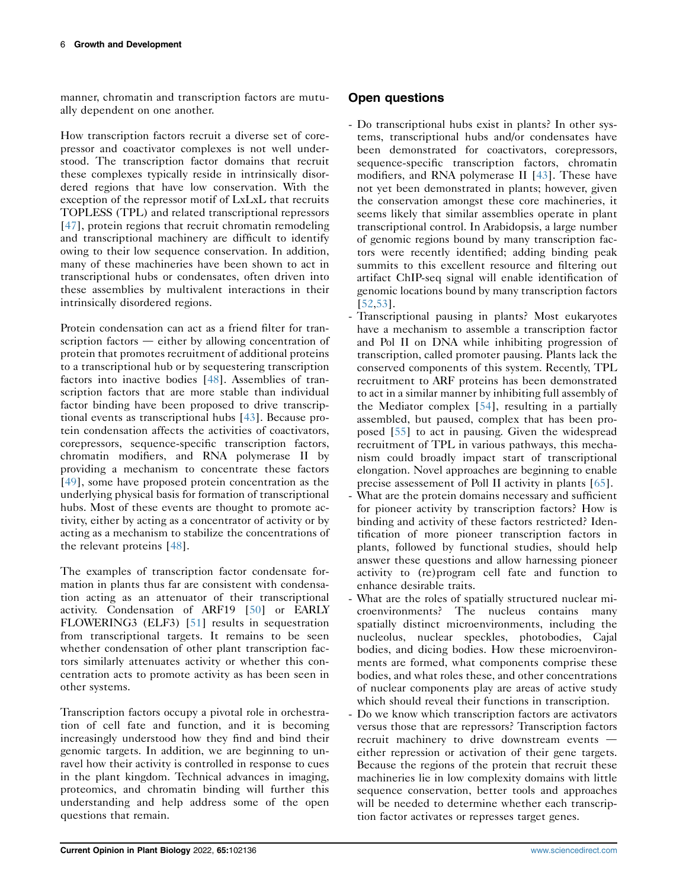manner, chromatin and transcription factors are mutually dependent on one another.

How transcription factors recruit a diverse set of corepressor and coactivator complexes is not well understood. The transcription factor domains that recruit these complexes typically reside in intrinsically disordered regions that have low conservation. With the exception of the repressor motif of LxLxL that recruits TOPLESS (TPL) and related transcriptional repressors [\[47](#page-8-24)], protein regions that recruit chromatin remodeling and transcriptional machinery are difficult to identify owing to their low sequence conservation. In addition, many of these machineries have been shown to act in transcriptional hubs or condensates, often driven into these assemblies by multivalent interactions in their intrinsically disordered regions.

Protein condensation can act as a friend filter for transcription factors  $-$  either by allowing concentration of protein that promotes recruitment of additional proteins to a transcriptional hub or by sequestering transcription factors into inactive bodies [\[48\]](#page-8-25). Assemblies of transcription factors that are more stable than individual factor binding have been proposed to drive transcriptional events as transcriptional hubs [[43](#page-8-20)]. Because protein condensation affects the activities of coactivators, corepressors, sequence-specific transcription factors, chromatin modifiers, and RNA polymerase II by providing a mechanism to concentrate these factors [\[49](#page-8-26)], some have proposed protein concentration as the underlying physical basis for formation of transcriptional hubs. Most of these events are thought to promote activity, either by acting as a concentrator of activity or by acting as a mechanism to stabilize the concentrations of the relevant proteins [\[48\]](#page-8-25).

The examples of transcription factor condensate formation in plants thus far are consistent with condensation acting as an attenuator of their transcriptional activity. Condensation of ARF19 [[50](#page-8-27)] or EARLY FLOWERING3 (ELF3) [[51](#page-8-28)] results in sequestration from transcriptional targets. It remains to be seen whether condensation of other plant transcription factors similarly attenuates activity or whether this concentration acts to promote activity as has been seen in other systems.

Transcription factors occupy a pivotal role in orchestration of cell fate and function, and it is becoming increasingly understood how they find and bind their genomic targets. In addition, we are beginning to unravel how their activity is controlled in response to cues in the plant kingdom. Technical advances in imaging, proteomics, and chromatin binding will further this understanding and help address some of the open questions that remain.

# Open questions

- Do transcriptional hubs exist in plants? In other systems, transcriptional hubs and/or condensates have been demonstrated for coactivators, corepressors, sequence-specific transcription factors, chromatin modifiers, and RNA polymerase II [\[43](#page-8-20)]. These have not yet been demonstrated in plants; however, given the conservation amongst these core machineries, it seems likely that similar assemblies operate in plant transcriptional control. In Arabidopsis, a large number of genomic regions bound by many transcription factors were recently identified; adding binding peak summits to this excellent resource and filtering out artifact ChIP-seq signal will enable identification of genomic locations bound by many transcription factors [\[52](#page-8-29),[53](#page-8-30)].
- Transcriptional pausing in plants? Most eukaryotes have a mechanism to assemble a transcription factor and Pol II on DNA while inhibiting progression of transcription, called promoter pausing. Plants lack the conserved components of this system. Recently, TPL recruitment to ARF proteins has been demonstrated to act in a similar manner by inhibiting full assembly of the Mediator complex [\[54\]](#page-8-31), resulting in a partially assembled, but paused, complex that has been proposed [[55\]](#page-8-32) to act in pausing. Given the widespread recruitment of TPL in various pathways, this mechanism could broadly impact start of transcriptional elongation. Novel approaches are beginning to enable precise assessement of Poll II activity in plants [[65](#page-8-33)].
- What are the protein domains necessary and sufficient for pioneer activity by transcription factors? How is binding and activity of these factors restricted? Identification of more pioneer transcription factors in plants, followed by functional studies, should help answer these questions and allow harnessing pioneer activity to (re)program cell fate and function to enhance desirable traits.
- What are the roles of spatially structured nuclear microenvironments? The nucleus contains many spatially distinct microenvironments, including the nucleolus, nuclear speckles, photobodies, Cajal bodies, and dicing bodies. How these microenvironments are formed, what components comprise these bodies, and what roles these, and other concentrations of nuclear components play are areas of active study which should reveal their functions in transcription.
- Do we know which transcription factors are activators versus those that are repressors? Transcription factors recruit machinery to drive downstream events  $$ either repression or activation of their gene targets. Because the regions of the protein that recruit these machineries lie in low complexity domains with little sequence conservation, better tools and approaches will be needed to determine whether each transcription factor activates or represses target genes.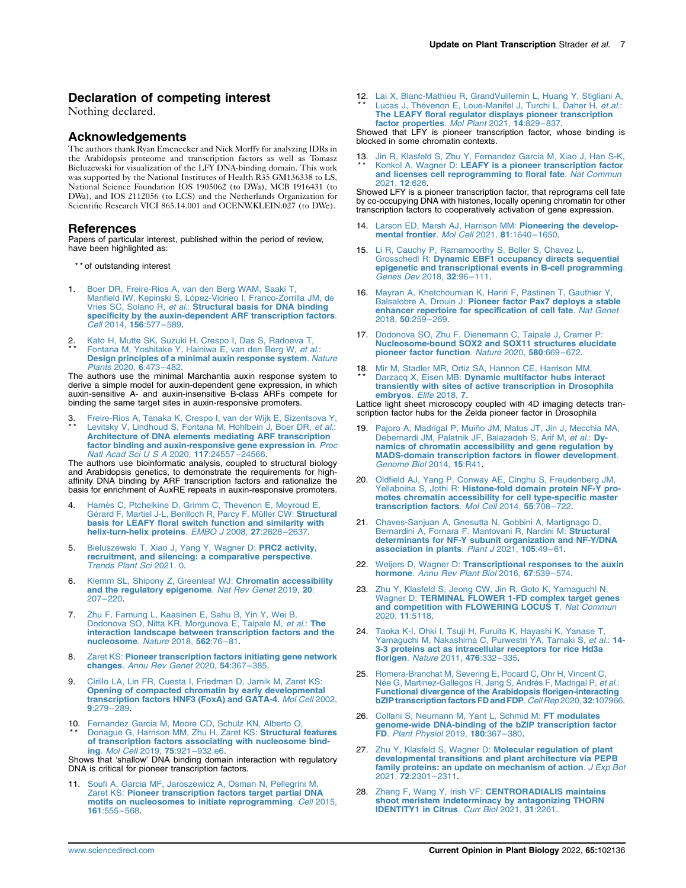### Declaration of competing interest

Nothing declared.

#### **Acknowledgements**

The authors thank Ryan Emenecker and Nick Morffy for analyzing IDRs in the Arabidopsis proteome and transcription factors as well as Tomasz Bieluzewski for visualization of the LFY DNA-binding domain. This work was supported by the National Institutes of Health R35 GM136338 to LS, National Science Foundation IOS 1905062 (to DWa), MCB 1916431 (to DWa), and IOS 2112056 (to LCS) and the Netherlands Organization for Scientific Research VICI 865.14.001 and OCENW.KLEIN.027 (to DWe).

#### References

Papers of particular interest, published within the period of review, have been highlighted as:

- \*\* of outstanding interest
- <span id="page-7-0"></span>1. [Boer DR, Freire-Rios A, van den Berg WAM, Saaki T,](http://refhub.elsevier.com/S1369-5266(21)00136-9/sref1) [Manfield IW, Kepinski S, López-Vidrieo I, Franco-Zorrilla JM, de](http://refhub.elsevier.com/S1369-5266(21)00136-9/sref1) Vries SC, Solano R, et al.: [Structural basis for DNA binding](http://refhub.elsevier.com/S1369-5266(21)00136-9/sref1) [specificity by the auxin-dependent ARF transcription factors](http://refhub.elsevier.com/S1369-5266(21)00136-9/sref1). Cell [2014,](http://refhub.elsevier.com/S1369-5266(21)00136-9/sref1) 156:577–589.
- 2 \* \* . [Kato H, Mutte SK, Suzuki H, Crespo I, Das S, Radoeva T,](http://refhub.elsevier.com/S1369-5266(21)00136-9/sref2) [Fontana M, Yoshitake Y, Hainiwa E, van den Berg W,](http://refhub.elsevier.com/S1369-5266(21)00136-9/sref2) et al.: [Design principles of a minimal auxin response system](http://refhub.elsevier.com/S1369-5266(21)00136-9/sref2). Nature [Plants](http://refhub.elsevier.com/S1369-5266(21)00136-9/sref2) 2020, 6:473–482.

The authors use the minimal Marchantia auxin response system to derive a simple model for auxin-dependent gene expression, in which auxin-sensitive A- and auxin-insensitive B-class ARFs compete for binding the same target sites in auxin-responsive promoters.

<span id="page-7-21"></span>3 \* \* [Freire-Rios A, Tanaka K, Crespo I, van der Wijk E, Sizentsova Y,](http://refhub.elsevier.com/S1369-5266(21)00136-9/sref3)<br>[Levitsky V, Lindhoud S, Fontana M, Hohlbein J, Boer DR,](http://refhub.elsevier.com/S1369-5266(21)00136-9/sref3) et al.:<br>**[Architecture of DNA elements mediating ARF transcription](http://refhub.elsevier.com/S1369-5266(21)00136-9/sref3)** fa<mark>ctor binding and auxin-responsive gene expression in</mark>. *Proc*<br>[Natl Acad Sci U S A](http://refhub.elsevier.com/S1369-5266(21)00136-9/sref3) 2020, **117**:24557–24566.

The authors use bioinformatic analysis, coupled to structural biology and Arabidopsis genetics, to demonstrate the requirements for high-affinity DNA binding by ARF transcription factors and rationalize the basis for enrichment of AuxRE repeats in auxin-responsive promoters.

- <span id="page-7-1"></span>4. [Hamès C, Ptchelkine D, Grimm C, Thevenon E, Moyroud E,](http://refhub.elsevier.com/S1369-5266(21)00136-9/sref4) [Gérard F, Martiel J-L, Benlloch R, Parcy F, Müller CW:](http://refhub.elsevier.com/S1369-5266(21)00136-9/sref4) Structural [basis for LEAFY floral switch function and similarity with](http://refhub.elsevier.com/S1369-5266(21)00136-9/sref4) [helix-turn-helix proteins](http://refhub.elsevier.com/S1369-5266(21)00136-9/sref4). EMBO J 2008, 27:2628-263
- <span id="page-7-2"></span>5. [Bieluszewski T, Xiao J, Yang Y, Wagner D:](http://refhub.elsevier.com/S1369-5266(21)00136-9/sref5) PRC2 activity, [recruitment, and silencing: a comparative perspective](http://refhub.elsevier.com/S1369-5266(21)00136-9/sref5). [Trends Plant Sci](http://refhub.elsevier.com/S1369-5266(21)00136-9/sref5) 2021. 0.
- <span id="page-7-3"></span>6. [Klemm SL, Shipony Z, Greenleaf WJ:](http://refhub.elsevier.com/S1369-5266(21)00136-9/sref6) Chromatin accessibility<br>[and the regulatory epigenome](http://refhub.elsevier.com/S1369-5266(21)00136-9/sref6). Nat Rev Genet 2019, 20: [207](http://refhub.elsevier.com/S1369-5266(21)00136-9/sref6)–220.
- <span id="page-7-4"></span>7. [Zhu F, Farnung L, Kaasinen E, Sahu B, Yin Y, Wei B,](http://refhub.elsevier.com/S1369-5266(21)00136-9/sref7) [Dodonova SO, Nitta KR, Morgunova E, Taipale M,](http://refhub.elsevier.com/S1369-5266(21)00136-9/sref7) et al.: The [interaction landscape between transcription factors and the](http://refhub.elsevier.com/S1369-5266(21)00136-9/sref7) [nucleosome](http://refhub.elsevier.com/S1369-5266(21)00136-9/sref7). Nature 2018, 562:76–81.
- <span id="page-7-5"></span>Zaret KS: [Pioneer transcription factors initiating gene network](http://refhub.elsevier.com/S1369-5266(21)00136-9/sref8) changes. [Annu Rev Genet](http://refhub.elsevier.com/S1369-5266(21)00136-9/sref8) 2020, 54:367–385.
- <span id="page-7-6"></span>9. [Cirillo LA, Lin FR, Cuesta I, Friedman D, Jarnik M, Zaret KS:](http://refhub.elsevier.com/S1369-5266(21)00136-9/sref9) [Opening of compacted chromatin by early developmental](http://refhub.elsevier.com/S1369-5266(21)00136-9/sref9) [transcription factors HNF3 \(FoxA\) and GATA-4](http://refhub.elsevier.com/S1369-5266(21)00136-9/sref9). Mol Cell 2002, 9[:279](http://refhub.elsevier.com/S1369-5266(21)00136-9/sref9)–289.
- <span id="page-7-7"></span>10 . [Fernandez Garcia M, Moore CD, Schulz KN, Alberto O,](http://refhub.elsevier.com/S1369-5266(21)00136-9/sref10) \* \* [Donague G, Harrison MM, Zhu H, Zaret KS:](http://refhub.elsevier.com/S1369-5266(21)00136-9/sref10) Structural features of transcription factors associating with nucleosome bind-<br>ing. [Mol Cell](http://refhub.elsevier.com/S1369-5266(21)00136-9/sref10) 2019, 75:921-932.e6.<br>Shows that 'shallow' DNA binding domain interaction with regulatory

DNA is critical for pioneer transcription factors.

<span id="page-7-8"></span>11. [Soufi A, Garcia MF, Jaroszewicz A, Osman N, Pellegrini M,](http://refhub.elsevier.com/S1369-5266(21)00136-9/sref11) Zaret KS: [Pioneer transcription factors target partial DNA](http://refhub.elsevier.com/S1369-5266(21)00136-9/sref11) [motifs on nucleosomes to initiate reprogramming](http://refhub.elsevier.com/S1369-5266(21)00136-9/sref11). Cell 2015, 161[:555](http://refhub.elsevier.com/S1369-5266(21)00136-9/sref11)–568.

<span id="page-7-9"></span>12. [Lai X, Blanc-Mathieu R, GrandVuillemin L, Huang Y, Stigliani A,](http://refhub.elsevier.com/S1369-5266(21)00136-9/sref12) \*\* [Lucas J, Thévenon E, Loue-Manifel J, Turchi L, Daher H,](http://refhub.elsevier.com/S1369-5266(21)00136-9/sref12) et al.: [The LEAFY floral regulator displays pioneer transcription](http://refhub.elsevier.com/S1369-5266(21)00136-9/sref12) [factor properties](http://refhub.elsevier.com/S1369-5266(21)00136-9/sref12). Mol Plant 2021, 14:829–837.

Showed that LFY is pioneer transcription factor, whose binding is blocked in some chromatin contexts.

<span id="page-7-10"></span>13 . [Jin R, Klasfeld S, Zhu Y, Fernandez Garcia M, Xiao J, Han S-K,](http://refhub.elsevier.com/S1369-5266(21)00136-9/sref13) \* \* Konkol A, Wagner D: [LEAFY is a pioneer transcription factor](http://refhub.elsevier.com/S1369-5266(21)00136-9/sref13) [and licenses cell reprogramming to floral fate](http://refhub.elsevier.com/S1369-5266(21)00136-9/sref13). Nat Commun [2021,](http://refhub.elsevier.com/S1369-5266(21)00136-9/sref13) 12:626.

Showed LFY is a pioneer transcription factor, that reprograms cell fate by co-occupying DNA with histones, locally opening chromatin for other transcription factors to cooperatively activation of gene expression.

- <span id="page-7-11"></span>14. [Larson ED, Marsh AJ, Harrison MM:](http://refhub.elsevier.com/S1369-5266(21)00136-9/sref14) Pioneering the develop-<br>[mental frontier](http://refhub.elsevier.com/S1369-5266(21)00136-9/sref14). Mol Cell 2021, 81:1640-1650.
- <span id="page-7-12"></span>15. [Li R, Cauchy P, Ramamoorthy S, Boller S, Chavez L,](http://refhub.elsevier.com/S1369-5266(21)00136-9/sref15) Grosschedl R: [Dynamic EBF1 occupancy directs sequential](http://refhub.elsevier.com/S1369-5266(21)00136-9/sref15) [epigenetic and transcriptional events in B-cell programming](http://refhub.elsevier.com/S1369-5266(21)00136-9/sref15). [Genes Dev](http://refhub.elsevier.com/S1369-5266(21)00136-9/sref15) 2018, 32:96–111.
- <span id="page-7-13"></span>16. [Mayran A, Khetchoumian K, Hariri F, Pastinen T, Gauthier Y,](http://refhub.elsevier.com/S1369-5266(21)00136-9/sref16) Balsalobre A, Drouin J: [Pioneer factor Pax7 deploys a stable](http://refhub.elsevier.com/S1369-5266(21)00136-9/sref16) [enhancer repertoire for specification of cell fate](http://refhub.elsevier.com/S1369-5266(21)00136-9/sref16). Nat Genet [2018,](http://refhub.elsevier.com/S1369-5266(21)00136-9/sref16) 50:259–269.
- <span id="page-7-14"></span>17. [Dodonova SO, Zhu F, Dienemann C, Taipale J, Cramer P:](http://refhub.elsevier.com/S1369-5266(21)00136-9/sref17) [Nucleosome-bound SOX2 and SOX11 structures elucidate](http://refhub.elsevier.com/S1369-5266(21)00136-9/sref17) [pioneer factor function](http://refhub.elsevier.com/S1369-5266(21)00136-9/sref17). Nature 2020, 580:669–672.
- 18. [Mir M, Stadler MR, Ortiz SA, Hannon CE, Harrison MM,](http://refhub.elsevier.com/S1369-5266(21)00136-9/sref18)<br>\*\* Darzacq X, Eisen MB: Dynamic multifactor hubs inter Darzacq X, Eisen MB: [Dynamic multifactor hubs interact](http://refhub.elsevier.com/S1369-5266(21)00136-9/sref18) [transiently with sites of active transcription in Drosophila](http://refhub.elsevier.com/S1369-5266(21)00136-9/sref18) [embryos](http://refhub.elsevier.com/S1369-5266(21)00136-9/sref18). Elife 2018, 7.

Lattice light sheet microscopy coupled with 4D imaging detects transcription factor hubs for the Zelda pioneer factor in Drosophila

- <span id="page-7-15"></span>19. [Pajoro A, Madrigal P, Muiño JM, Matus JT, Jin J, Mecchia MA,](http://refhub.elsevier.com/S1369-5266(21)00136-9/sref19) [Debernardi JM, Palatnik JF, Balazadeh S, Arif M,](http://refhub.elsevier.com/S1369-5266(21)00136-9/sref19) et al.: Dy[namics of chromatin accessibility and gene regulation by](http://refhub.elsevier.com/S1369-5266(21)00136-9/sref19) [MADS-domain transcription factors in flower development](http://refhub.elsevier.com/S1369-5266(21)00136-9/sref19). [Genome Biol](http://refhub.elsevier.com/S1369-5266(21)00136-9/sref19) 2014, 15:R41.
- <span id="page-7-16"></span>20. [Oldfield AJ, Yang P, Conway AE, Cinghu S, Freudenberg JM,](http://refhub.elsevier.com/S1369-5266(21)00136-9/sref20)<br>Yellaboina S, Jothi R: **[Histone-fold domain protein NF-Y pro](http://refhub.elsevier.com/S1369-5266(21)00136-9/sref20)**[motes chromatin accessibility for cell type-specific master](http://refhub.elsevier.com/S1369-5266(21)00136-9/sref20) [transcription factors](http://refhub.elsevier.com/S1369-5266(21)00136-9/sref20). Mol Cell 2014, 55:708-722.
- 21. [Chaves-Sanjuan A, Gnesutta N, Gobbini A, Martignago D,](http://refhub.elsevier.com/S1369-5266(21)00136-9/sref21)<br>[Bernardini A, Fornara F, Mantovani R, Nardini M:](http://refhub.elsevier.com/S1369-5266(21)00136-9/sref21) Structural<br>[determinants for NF-Y subunit organization and NF-Y/DNA](http://refhub.elsevier.com/S1369-5266(21)00136-9/sref21)<br>[association in plants](http://refhub.elsevier.com/S1369-5266(21)00136-9/sref21). Plant J 2021, 105:49–61.
- <span id="page-7-19"></span>22. Weijers D, Wagner D: [Transcriptional responses to the auxin](http://refhub.elsevier.com/S1369-5266(21)00136-9/sref22) hormone. [Annu Rev Plant Biol](http://refhub.elsevier.com/S1369-5266(21)00136-9/sref22) 2016, 67:539–574.
- <span id="page-7-17"></span>23. [Zhu Y, Klasfeld S, Jeong CW, Jin R, Goto K, Yamaguchi N,](http://refhub.elsevier.com/S1369-5266(21)00136-9/sref23) Wagner D: [TERMINAL FLOWER 1-FD complex target genes](http://refhub.elsevier.com/S1369-5266(21)00136-9/sref23)<br>[and competition with FLOWERING LOCUS T](http://refhub.elsevier.com/S1369-5266(21)00136-9/sref23). Nat Commun [2020,](http://refhub.elsevier.com/S1369-5266(21)00136-9/sref23) 11:5118.
- <span id="page-7-18"></span>24. [Taoka K-I, Ohki I, Tsuji H, Furuita K, Hayashi K, Yanase T,](http://refhub.elsevier.com/S1369-5266(21)00136-9/sref24) [Yamaguchi M, Nakashima C, Purwestri YA, Tamaki S,](http://refhub.elsevier.com/S1369-5266(21)00136-9/sref24) et al.: 14-<br>[3-3 proteins act as intracellular receptors for rice Hd3a](http://refhub.elsevier.com/S1369-5266(21)00136-9/sref24)<br>[florigen](http://refhub.elsevier.com/S1369-5266(21)00136-9/sref24). Nature 2011, 476:332-335.
- 25. [Romera-Branchat M, Severing E, Pocard C, Ohr H, Vincent C,](http://refhub.elsevier.com/S1369-5266(21)00136-9/sref25) [Née G, Martinez-Gallegos R, Jang S, Andrés F, Madrigal P,](http://refhub.elsevier.com/S1369-5266(21)00136-9/sref25) et al.: [Functional divergence of the Arabidopsis florigen-interacting](http://refhub.elsevier.com/S1369-5266(21)00136-9/sref25) [bZIP transcription factors FD and FDP](http://refhub.elsevier.com/S1369-5266(21)00136-9/sref25). Cell Rep 2020, 32:107966.
- 26. [Collani S, Neumann M, Yant L, Schmid M:](http://refhub.elsevier.com/S1369-5266(21)00136-9/sref26) FT modulates [genome-wide DNA-binding of the bZIP transcription factor](http://refhub.elsevier.com/S1369-5266(21)00136-9/sref26) FD. [Plant Physiol](http://refhub.elsevier.com/S1369-5266(21)00136-9/sref26) 2019, 180:367–380.
- 27. Zhu Y, Klasfeld S, Wagner D: [Molecular regulation of plant](http://refhub.elsevier.com/S1369-5266(21)00136-9/sref27) [developmental transitions and plant architecture via PEPB](http://refhub.elsevier.com/S1369-5266(21)00136-9/sref27) [family proteins: an update on mechanism of action](http://refhub.elsevier.com/S1369-5266(21)00136-9/sref27). J Exp Bot<br>2021, 72[:2301](http://refhub.elsevier.com/S1369-5266(21)00136-9/sref27)–2311.
- <span id="page-7-20"></span>28. Zhang F, Wang Y, Irish VF: [CENTRORADIALIS maintains](http://refhub.elsevier.com/S1369-5266(21)00136-9/sref28) [shoot meristem indeterminacy by antagonizing THORN](http://refhub.elsevier.com/S1369-5266(21)00136-9/sref28) [IDENTITY1 in Citrus](http://refhub.elsevier.com/S1369-5266(21)00136-9/sref28). Curr Biol 2021, 31:2261.